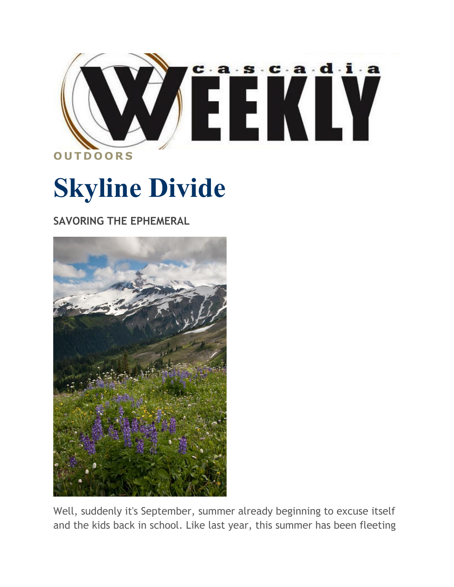

## **Skyline Divide**

**SAVORING THE EPHEMERAL**



Well, suddenly it's September, summer already beginning to excuse itself and the kids back in school. Like last year, this summer has been fleeting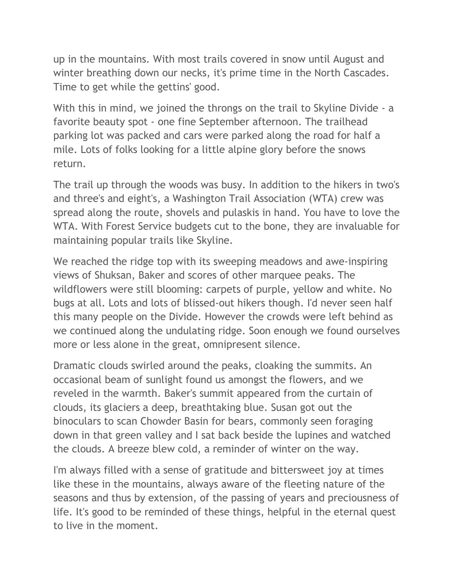up in the mountains. With most trails covered in snow until August and winter breathing down our necks, it's prime time in the North Cascades. Time to get while the gettins' good.

With this in mind, we joined the throngs on the trail to Skyline Divide - a favorite beauty spot - one fine September afternoon. The trailhead parking lot was packed and cars were parked along the road for half a mile. Lots of folks looking for a little alpine glory before the snows return.

The trail up through the woods was busy. In addition to the hikers in two's and three's and eight's, a Washington Trail Association (WTA) crew was spread along the route, shovels and pulaskis in hand. You have to love the WTA. With Forest Service budgets cut to the bone, they are invaluable for maintaining popular trails like Skyline.

We reached the ridge top with its sweeping meadows and awe-inspiring views of Shuksan, Baker and scores of other marquee peaks. The wildflowers were still blooming: carpets of purple, yellow and white. No bugs at all. Lots and lots of blissed-out hikers though. I'd never seen half this many people on the Divide. However the crowds were left behind as we continued along the undulating ridge. Soon enough we found ourselves more or less alone in the great, omnipresent silence.

Dramatic clouds swirled around the peaks, cloaking the summits. An occasional beam of sunlight found us amongst the flowers, and we reveled in the warmth. Baker's summit appeared from the curtain of clouds, its glaciers a deep, breathtaking blue. Susan got out the binoculars to scan Chowder Basin for bears, commonly seen foraging down in that green valley and I sat back beside the lupines and watched the clouds. A breeze blew cold, a reminder of winter on the way.

I'm always filled with a sense of gratitude and bittersweet joy at times like these in the mountains, always aware of the fleeting nature of the seasons and thus by extension, of the passing of years and preciousness of life. It's good to be reminded of these things, helpful in the eternal quest to live in the moment.